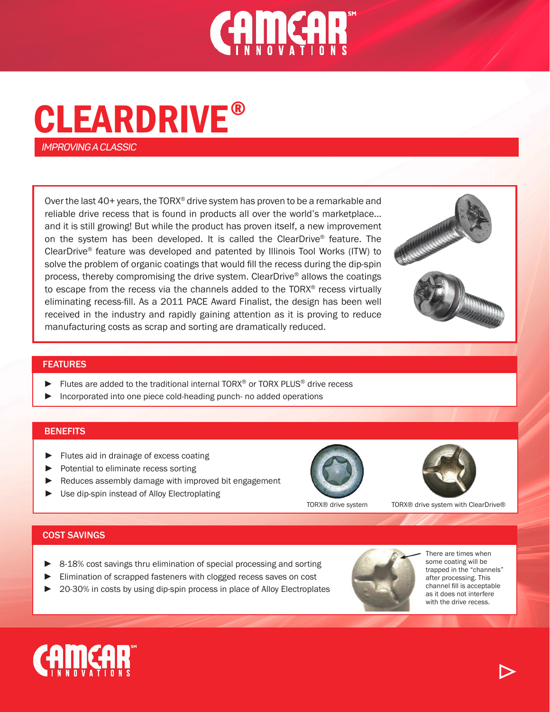

# CLEARDRIVE ®

*IMPROVING A CLASSIC*

Over the last 40+ years, the TORX® drive system has proven to be a remarkable and reliable drive recess that is found in products all over the world's marketplace... and it is still growing! But while the product has proven itself, a new improvement on the system has been developed. It is called the ClearDrive® feature. The ClearDrive® feature was developed and patented by Illinois Tool Works (ITW) to solve the problem of organic coatings that would fill the recess during the dip-spin process, thereby compromising the drive system. ClearDrive® allows the coatings to escape from the recess via the channels added to the TORX® recess virtually eliminating recess-fill. As a 2011 PACE Award Finalist, the design has been well received in the industry and rapidly gaining attention as it is proving to reduce manufacturing costs as scrap and sorting are dramatically reduced.





#### FEATURES

- ► Flutes are added to the traditional internal TORX® or TORX PLUS® drive recess
- Incorporated into one piece cold-heading punch- no added operations

# **BENEFITS**

- ► Flutes aid in drainage of excess coating
- ► Potential to eliminate recess sorting
- Reduces assembly damage with improved bit engagement
- ► Use dip-spin instead of Alloy Electroplating



TORX® drive system TORX® drive system with ClearDrive®

# COST SAVINGS

- 8-18% cost savings thru elimination of special processing and sorting
- Elimination of scrapped fasteners with clogged recess saves on cost
- 20-30% in costs by using dip-spin process in place of Alloy Electroplates



There are times when some coating will be trapped in the "channels" after processing. This channel fill is acceptable as it does not interfere with the drive recess.